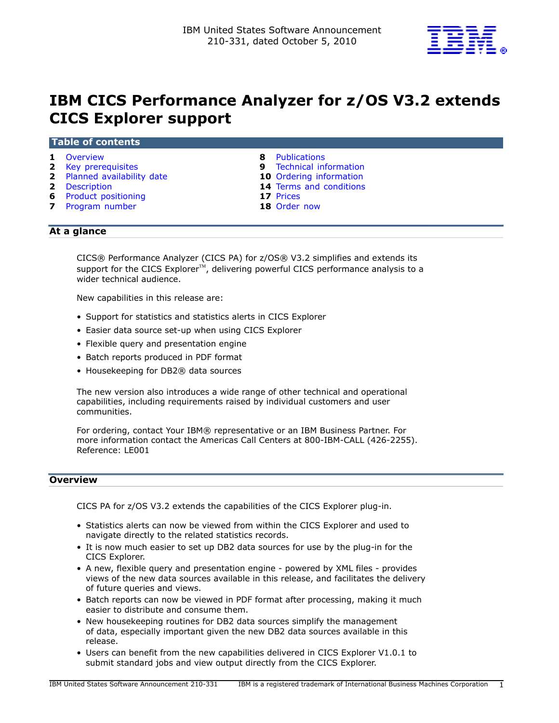

# IBM CICS Performance Analyzer for z/OS V3.2 extends CICS Explorer support

#### Table of contents

- 1 [Overview](#page-0-0) **8 Publications**
- **2** [Key prerequisites](#page-1-0) **9** Technical information
- 2 [Planned availability date](#page-1-1) 10 Ordering information
- 
- 6 Product positioning
- **7** [Program number](#page-6-0) **18** [Order now](#page-17-0)
- 
- 
- 
- 2 [Description](#page-1-2) 14 Terms and conditions<br>
17 Prices
	-
	-

# At a glance

CICS® Performance Analyzer (CICS PA) for z/OS® V3.2 simplifies and extends its support for the CICS Explorer<sup>™</sup>, delivering powerful CICS performance analysis to a wider technical audience.

New capabilities in this release are:

- Support for statistics and statistics alerts in CICS Explorer
- Easier data source set-up when using CICS Explorer
- Flexible query and presentation engine
- Batch reports produced in PDF format
- Housekeeping for DB2® data sources

The new version also introduces a wide range of other technical and operational capabilities, including requirements raised by individual customers and user communities.

For ordering, contact Your IBM® representative or an IBM Business Partner. For more information contact the Americas Call Centers at 800-IBM-CALL (426-2255). Reference: LE001

# <span id="page-0-0"></span>**Overview**

CICS PA for z/OS V3.2 extends the capabilities of the CICS Explorer plug-in.

- Statistics alerts can now be viewed from within the CICS Explorer and used to navigate directly to the related statistics records.
- It is now much easier to set up DB2 data sources for use by the plug-in for the CICS Explorer.
- A new, flexible query and presentation engine powered by XML files provides views of the new data sources available in this release, and facilitates the delivery of future queries and views.
- Batch reports can now be viewed in PDF format after processing, making it much easier to distribute and consume them.
- New housekeeping routines for DB2 data sources simplify the management of data, especially important given the new DB2 data sources available in this release.
- Users can benefit from the new capabilities delivered in CICS Explorer V1.0.1 to submit standard jobs and view output directly from the CICS Explorer.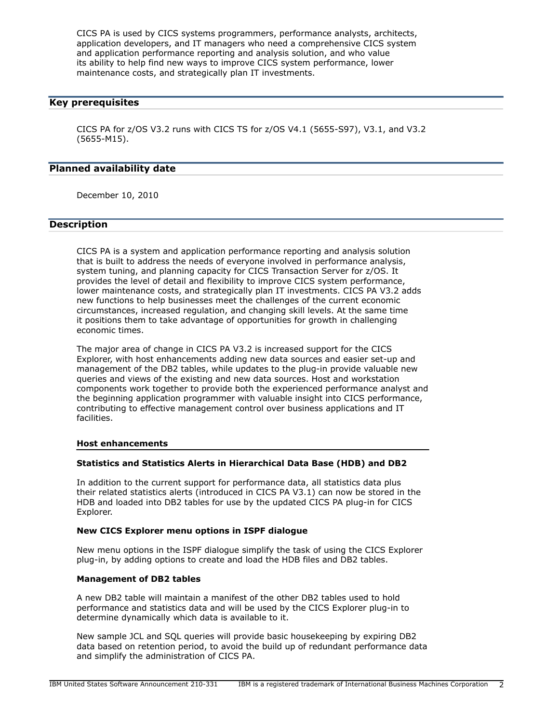CICS PA is used by CICS systems programmers, performance analysts, architects, application developers, and IT managers who need a comprehensive CICS system and application performance reporting and analysis solution, and who value its ability to help find new ways to improve CICS system performance, lower maintenance costs, and strategically plan IT investments.

## <span id="page-1-0"></span>Key prerequisites

CICS PA for z/OS V3.2 runs with CICS TS for z/OS V4.1 (5655-S97), V3.1, and V3.2 (5655-M15).

## <span id="page-1-1"></span>Planned availability date

December 10, 2010

## <span id="page-1-2"></span>Description

CICS PA is a system and application performance reporting and analysis solution that is built to address the needs of everyone involved in performance analysis, system tuning, and planning capacity for CICS Transaction Server for z/OS. It provides the level of detail and flexibility to improve CICS system performance, lower maintenance costs, and strategically plan IT investments. CICS PA V3.2 adds new functions to help businesses meet the challenges of the current economic circumstances, increased regulation, and changing skill levels. At the same time it positions them to take advantage of opportunities for growth in challenging economic times.

The major area of change in CICS PA V3.2 is increased support for the CICS Explorer, with host enhancements adding new data sources and easier set-up and management of the DB2 tables, while updates to the plug-in provide valuable new queries and views of the existing and new data sources. Host and workstation components work together to provide both the experienced performance analyst and the beginning application programmer with valuable insight into CICS performance, contributing to effective management control over business applications and IT facilities.

#### Host enhancements

## Statistics and Statistics Alerts in Hierarchical Data Base (HDB) and DB2

In addition to the current support for performance data, all statistics data plus their related statistics alerts (introduced in CICS PA V3.1) can now be stored in the HDB and loaded into DB2 tables for use by the updated CICS PA plug-in for CICS Explorer.

#### New CICS Explorer menu options in ISPF dialogue

New menu options in the ISPF dialogue simplify the task of using the CICS Explorer plug-in, by adding options to create and load the HDB files and DB2 tables.

# Management of DB2 tables

A new DB2 table will maintain a manifest of the other DB2 tables used to hold performance and statistics data and will be used by the CICS Explorer plug-in to determine dynamically which data is available to it.

New sample JCL and SQL queries will provide basic housekeeping by expiring DB2 data based on retention period, to avoid the build up of redundant performance data and simplify the administration of CICS PA.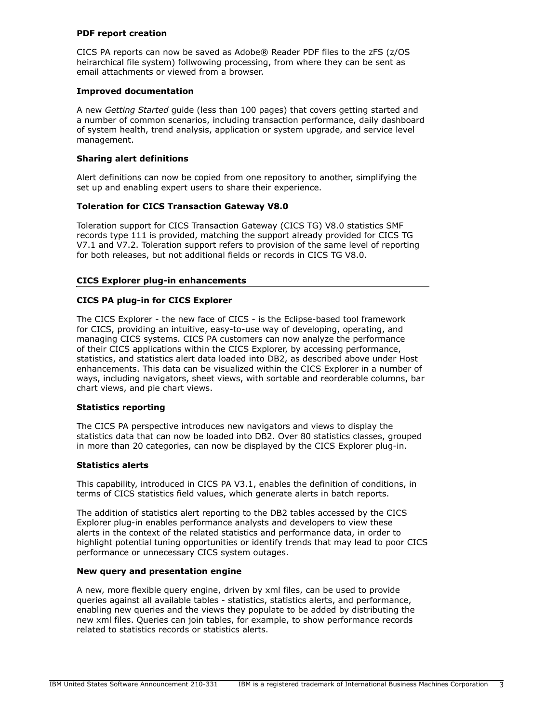## PDF report creation

CICS PA reports can now be saved as Adobe® Reader PDF files to the zFS (z/OS heirarchical file system) follwowing processing, from where they can be sent as email attachments or viewed from a browser.

## Improved documentation

A new *Getting Started* guide (less than 100 pages) that covers getting started and a number of common scenarios, including transaction performance, daily dashboard of system health, trend analysis, application or system upgrade, and service level management.

# Sharing alert definitions

Alert definitions can now be copied from one repository to another, simplifying the set up and enabling expert users to share their experience.

# Toleration for CICS Transaction Gateway V8.0

Toleration support for CICS Transaction Gateway (CICS TG) V8.0 statistics SMF records type 111 is provided, matching the support already provided for CICS TG V7.1 and V7.2. Toleration support refers to provision of the same level of reporting for both releases, but not additional fields or records in CICS TG V8.0.

## CICS Explorer plug-in enhancements

## CICS PA plug-in for CICS Explorer

The CICS Explorer - the new face of CICS - is the Eclipse-based tool framework for CICS, providing an intuitive, easy-to-use way of developing, operating, and managing CICS systems. CICS PA customers can now analyze the performance of their CICS applications within the CICS Explorer, by accessing performance, statistics, and statistics alert data loaded into DB2, as described above under Host enhancements. This data can be visualized within the CICS Explorer in a number of ways, including navigators, sheet views, with sortable and reorderable columns, bar chart views, and pie chart views.

#### Statistics reporting

The CICS PA perspective introduces new navigators and views to display the statistics data that can now be loaded into DB2. Over 80 statistics classes, grouped in more than 20 categories, can now be displayed by the CICS Explorer plug-in.

#### Statistics alerts

This capability, introduced in CICS PA V3.1, enables the definition of conditions, in terms of CICS statistics field values, which generate alerts in batch reports.

The addition of statistics alert reporting to the DB2 tables accessed by the CICS Explorer plug-in enables performance analysts and developers to view these alerts in the context of the related statistics and performance data, in order to highlight potential tuning opportunities or identify trends that may lead to poor CICS performance or unnecessary CICS system outages.

# New query and presentation engine

A new, more flexible query engine, driven by xml files, can be used to provide queries against all available tables - statistics, statistics alerts, and performance, enabling new queries and the views they populate to be added by distributing the new xml files. Queries can join tables, for example, to show performance records related to statistics records or statistics alerts.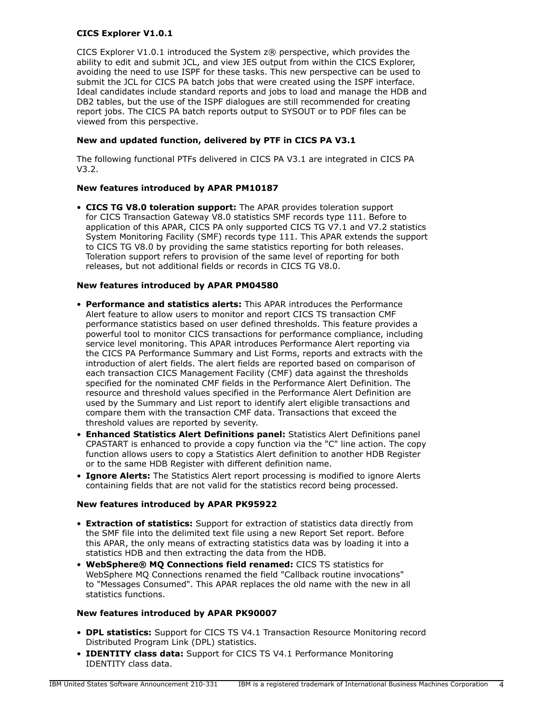# CICS Explorer V1.0.1

CICS Explorer V1.0.1 introduced the System z® perspective, which provides the ability to edit and submit JCL, and view JES output from within the CICS Explorer, avoiding the need to use ISPF for these tasks. This new perspective can be used to submit the JCL for CICS PA batch jobs that were created using the ISPF interface. Ideal candidates include standard reports and jobs to load and manage the HDB and DB2 tables, but the use of the ISPF dialogues are still recommended for creating report jobs. The CICS PA batch reports output to SYSOUT or to PDF files can be viewed from this perspective.

## New and updated function, delivered by PTF in CICS PA V3.1

The following functional PTFs delivered in CICS PA V3.1 are integrated in CICS PA V3.2.

## New features introduced by APAR PM10187

• CICS TG V8.0 toleration support: The APAR provides toleration support for CICS Transaction Gateway V8.0 statistics SMF records type 111. Before to application of this APAR, CICS PA only supported CICS TG V7.1 and V7.2 statistics System Monitoring Facility (SMF) records type 111. This APAR extends the support to CICS TG V8.0 by providing the same statistics reporting for both releases. Toleration support refers to provision of the same level of reporting for both releases, but not additional fields or records in CICS TG V8.0.

## New features introduced by APAR PM04580

- Performance and statistics alerts: This APAR introduces the Performance Alert feature to allow users to monitor and report CICS TS transaction CMF performance statistics based on user defined thresholds. This feature provides a powerful tool to monitor CICS transactions for performance compliance, including service level monitoring. This APAR introduces Performance Alert reporting via the CICS PA Performance Summary and List Forms, reports and extracts with the introduction of alert fields. The alert fields are reported based on comparison of each transaction CICS Management Facility (CMF) data against the thresholds specified for the nominated CMF fields in the Performance Alert Definition. The resource and threshold values specified in the Performance Alert Definition are used by the Summary and List report to identify alert eligible transactions and compare them with the transaction CMF data. Transactions that exceed the threshold values are reported by severity.
- Enhanced Statistics Alert Definitions panel: Statistics Alert Definitions panel CPASTART is enhanced to provide a copy function via the "C" line action. The copy function allows users to copy a Statistics Alert definition to another HDB Register or to the same HDB Register with different definition name.
- Ignore Alerts: The Statistics Alert report processing is modified to ignore Alerts containing fields that are not valid for the statistics record being processed.

#### New features introduced by APAR PK95922

- Extraction of statistics: Support for extraction of statistics data directly from the SMF file into the delimited text file using a new Report Set report. Before this APAR, the only means of extracting statistics data was by loading it into a statistics HDB and then extracting the data from the HDB.
- WebSphere® MQ Connections field renamed: CICS TS statistics for WebSphere MQ Connections renamed the field "Callback routine invocations" to "Messages Consumed". This APAR replaces the old name with the new in all statistics functions.

## New features introduced by APAR PK90007

- DPL statistics: Support for CICS TS V4.1 Transaction Resource Monitoring record Distributed Program Link (DPL) statistics.
- **IDENTITY class data:** Support for CICS TS V4.1 Performance Monitoring IDENTITY class data.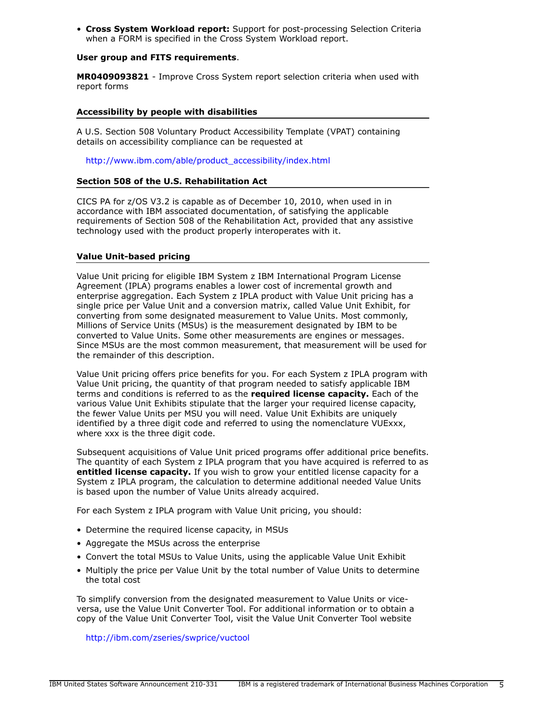• Cross System Workload report: Support for post-processing Selection Criteria when a FORM is specified in the Cross System Workload report.

## User group and FITS requirements.

MR0409093821 - Improve Cross System report selection criteria when used with report forms

#### Accessibility by people with disabilities

A U.S. Section 508 Voluntary Product Accessibility Template (VPAT) containing details on accessibility compliance can be requested at

[http://www.ibm.com/able/product\\_accessibility/index.html](http://www.ibm.com/able/product_accessibility/index.html)

## Section 508 of the U.S. Rehabilitation Act

CICS PA for z/OS V3.2 is capable as of December 10, 2010, when used in in accordance with IBM associated documentation, of satisfying the applicable requirements of Section 508 of the Rehabilitation Act, provided that any assistive technology used with the product properly interoperates with it.

## Value Unit-based pricing

Value Unit pricing for eligible IBM System z IBM International Program License Agreement (IPLA) programs enables a lower cost of incremental growth and enterprise aggregation. Each System z IPLA product with Value Unit pricing has a single price per Value Unit and a conversion matrix, called Value Unit Exhibit, for converting from some designated measurement to Value Units. Most commonly, Millions of Service Units (MSUs) is the measurement designated by IBM to be converted to Value Units. Some other measurements are engines or messages. Since MSUs are the most common measurement, that measurement will be used for the remainder of this description.

Value Unit pricing offers price benefits for you. For each System z IPLA program with Value Unit pricing, the quantity of that program needed to satisfy applicable IBM terms and conditions is referred to as the required license capacity. Each of the various Value Unit Exhibits stipulate that the larger your required license capacity, the fewer Value Units per MSU you will need. Value Unit Exhibits are uniquely identified by a three digit code and referred to using the nomenclature VUExxx, where xxx is the three digit code.

Subsequent acquisitions of Value Unit priced programs offer additional price benefits. The quantity of each System z IPLA program that you have acquired is referred to as entitled license capacity. If you wish to grow your entitled license capacity for a System z IPLA program, the calculation to determine additional needed Value Units is based upon the number of Value Units already acquired.

For each System z IPLA program with Value Unit pricing, you should:

- Determine the required license capacity, in MSUs
- Aggregate the MSUs across the enterprise
- Convert the total MSUs to Value Units, using the applicable Value Unit Exhibit
- Multiply the price per Value Unit by the total number of Value Units to determine the total cost

To simplify conversion from the designated measurement to Value Units or viceversa, use the Value Unit Converter Tool. For additional information or to obtain a copy of the Value Unit Converter Tool, visit the Value Unit Converter Tool website

<http://ibm.com/zseries/swprice/vuctool>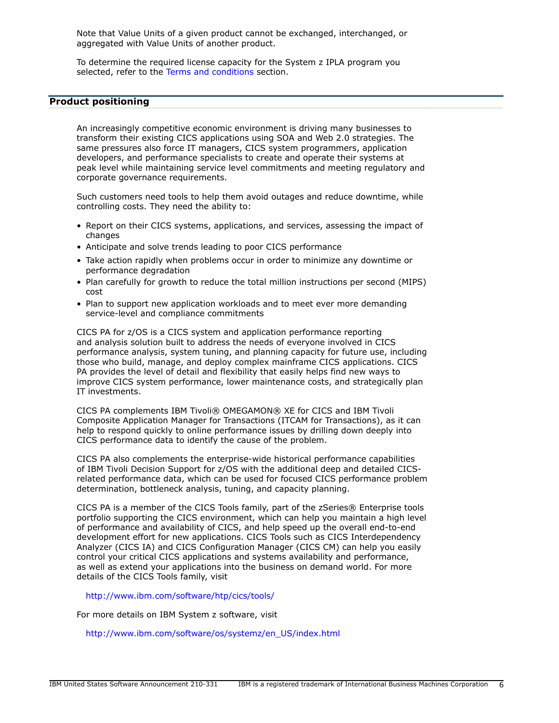Note that Value Units of a given product cannot be exchanged, interchanged, or aggregated with Value Units of another product.

To determine the required license capacity for the System z IPLA program you selected, refer to the [Terms and conditions](#page-13-0) section.

# <span id="page-5-0"></span>Product positioning

An increasingly competitive economic environment is driving many businesses to transform their existing CICS applications using SOA and Web 2.0 strategies. The same pressures also force IT managers, CICS system programmers, application developers, and performance specialists to create and operate their systems at peak level while maintaining service level commitments and meeting regulatory and corporate governance requirements.

Such customers need tools to help them avoid outages and reduce downtime, while controlling costs. They need the ability to:

- Report on their CICS systems, applications, and services, assessing the impact of changes
- Anticipate and solve trends leading to poor CICS performance
- Take action rapidly when problems occur in order to minimize any downtime or performance degradation
- Plan carefully for growth to reduce the total million instructions per second (MIPS) cost
- Plan to support new application workloads and to meet ever more demanding service-level and compliance commitments

CICS PA for z/OS is a CICS system and application performance reporting and analysis solution built to address the needs of everyone involved in CICS performance analysis, system tuning, and planning capacity for future use, including those who build, manage, and deploy complex mainframe CICS applications. CICS PA provides the level of detail and flexibility that easily helps find new ways to improve CICS system performance, lower maintenance costs, and strategically plan IT investments.

CICS PA complements IBM Tivoli® OMEGAMON® XE for CICS and IBM Tivoli Composite Application Manager for Transactions (ITCAM for Transactions), as it can help to respond quickly to online performance issues by drilling down deeply into CICS performance data to identify the cause of the problem.

CICS PA also complements the enterprise-wide historical performance capabilities of IBM Tivoli Decision Support for z/OS with the additional deep and detailed CICSrelated performance data, which can be used for focused CICS performance problem determination, bottleneck analysis, tuning, and capacity planning.

CICS PA is a member of the CICS Tools family, part of the zSeries® Enterprise tools portfolio supporting the CICS environment, which can help you maintain a high level of performance and availability of CICS, and help speed up the overall end-to-end development effort for new applications. CICS Tools such as CICS Interdependency Analyzer (CICS IA) and CICS Configuration Manager (CICS CM) can help you easily control your critical CICS applications and systems availability and performance, as well as extend your applications into the business on demand world. For more details of the CICS Tools family, visit

<http://www.ibm.com/software/htp/cics/tools/>

For more details on IBM System z software, visit

[http://www.ibm.com/software/os/systemz/en\\_US/index.html](http://www.ibm.com/software/os/systemz/en_US/index.html)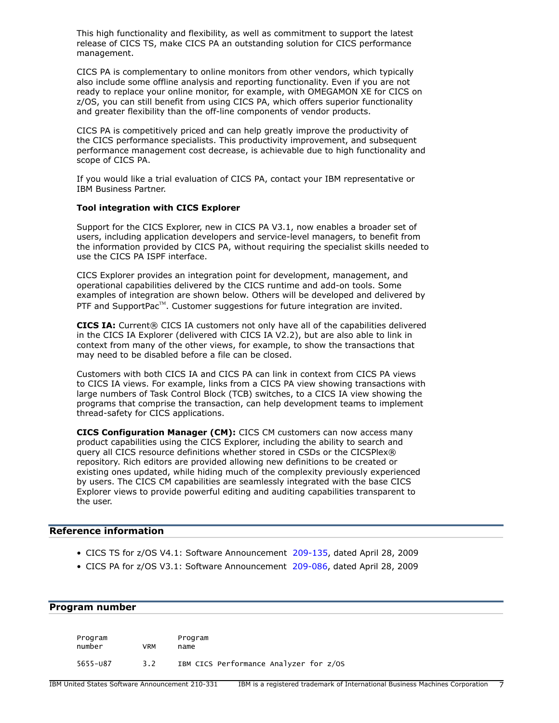This high functionality and flexibility, as well as commitment to support the latest release of CICS TS, make CICS PA an outstanding solution for CICS performance management.

CICS PA is complementary to online monitors from other vendors, which typically also include some offline analysis and reporting functionality. Even if you are not ready to replace your online monitor, for example, with OMEGAMON XE for CICS on z/OS, you can still benefit from using CICS PA, which offers superior functionality and greater flexibility than the off-line components of vendor products.

CICS PA is competitively priced and can help greatly improve the productivity of the CICS performance specialists. This productivity improvement, and subsequent performance management cost decrease, is achievable due to high functionality and scope of CICS PA.

If you would like a trial evaluation of CICS PA, contact your IBM representative or IBM Business Partner.

## Tool integration with CICS Explorer

Support for the CICS Explorer, new in CICS PA V3.1, now enables a broader set of users, including application developers and service-level managers, to benefit from the information provided by CICS PA, without requiring the specialist skills needed to use the CICS PA ISPF interface.

CICS Explorer provides an integration point for development, management, and operational capabilities delivered by the CICS runtime and add-on tools. Some examples of integration are shown below. Others will be developed and delivered by PTF and SupportPac<sup>™</sup>. Customer suggestions for future integration are invited.

CICS IA: Current® CICS IA customers not only have all of the capabilities delivered in the CICS IA Explorer (delivered with CICS IA V2.2), but are also able to link in context from many of the other views, for example, to show the transactions that may need to be disabled before a file can be closed.

Customers with both CICS IA and CICS PA can link in context from CICS PA views to CICS IA views. For example, links from a CICS PA view showing transactions with large numbers of Task Control Block (TCB) switches, to a CICS IA view showing the programs that comprise the transaction, can help development teams to implement thread-safety for CICS applications.

CICS Configuration Manager (CM): CICS CM customers can now access many product capabilities using the CICS Explorer, including the ability to search and query all CICS resource definitions whether stored in CSDs or the CICSPlex® repository. Rich editors are provided allowing new definitions to be created or existing ones updated, while hiding much of the complexity previously experienced by users. The CICS CM capabilities are seamlessly integrated with the base CICS Explorer views to provide powerful editing and auditing capabilities transparent to the user.

## Reference information

- CICS TS for z/OS V4.1: Software Announcement [209-135](http://www.ibm.com/common/ssi/cgi-bin/ssialias?infotype=an&subtype=ca&appname=gpateam&supplier=897&letternum=ENUS209-135), dated April 28, 2009
- CICS PA for z/OS V3.1: Software Announcement [209-086,](http://www.ibm.com/common/ssi/cgi-bin/ssialias?infotype=an&subtype=ca&appname=gpateam&supplier=897&letternum=ENUS209-086) dated April 28, 2009

## <span id="page-6-0"></span>Program number

| Program<br>number | VRM | Program<br>name                        |
|-------------------|-----|----------------------------------------|
| 5655-087          | 3.2 | IBM CICS Performance Analyzer for z/OS |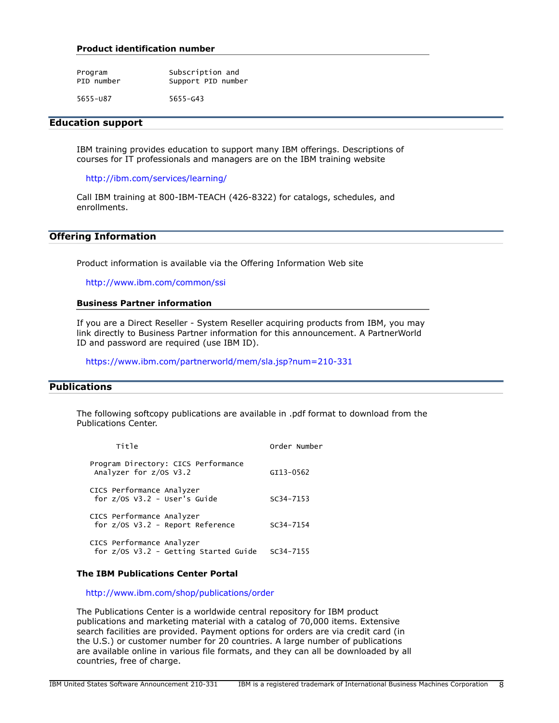#### Product identification number

| Program    | Subscription and   |
|------------|--------------------|
| PID number | Support PID number |

5655-U87 5655-G43

#### Education support

IBM training provides education to support many IBM offerings. Descriptions of courses for IT professionals and managers are on the IBM training website

<http://ibm.com/services/learning/>

Call IBM training at 800-IBM-TEACH (426-8322) for catalogs, schedules, and enrollments.

# Offering Information

Product information is available via the Offering Information Web site

<http://www.ibm.com/common/ssi>

#### Business Partner information

If you are a Direct Reseller - System Reseller acquiring products from IBM, you may link directly to Business Partner information for this announcement. A PartnerWorld ID and password are required (use IBM ID).

<https://www.ibm.com/partnerworld/mem/sla.jsp?num=210-331>

# <span id="page-7-0"></span>**Publications**

The following softcopy publications are available in .pdf format to download from the Publications Center.

| Title                                                                | Order Number  |
|----------------------------------------------------------------------|---------------|
| Program Directory: CICS Performance<br>Analyzer for z/OS V3.2        | GI13-0562     |
| CICS Performance Analyzer<br>for $z/0s$ V3.2 - User's Guide          | $SC34 - 7153$ |
| CICS Performance Analyzer<br>for z/0S V3.2 - Report Reference        | $SC34 - 7154$ |
| CICS Performance Analyzer<br>for $z/0s$ V3.2 - Getting Started Guide | SC34-7155     |

#### The IBM Publications Center Portal

<http://www.ibm.com/shop/publications/order>

The Publications Center is a worldwide central repository for IBM product publications and marketing material with a catalog of 70,000 items. Extensive search facilities are provided. Payment options for orders are via credit card (in the U.S.) or customer number for 20 countries. A large number of publications are available online in various file formats, and they can all be downloaded by all countries, free of charge.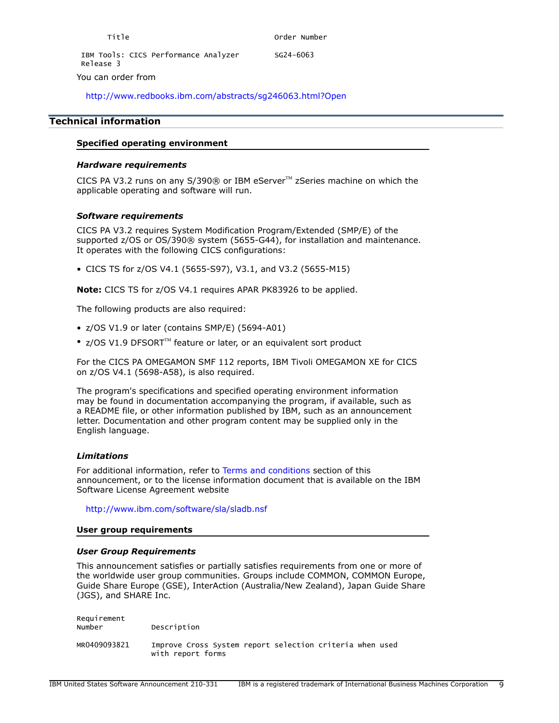Release 3 You can order from

<http://www.redbooks.ibm.com/abstracts/sg246063.html?Open>

# <span id="page-8-0"></span>Technical information

## Specified operating environment

## *Hardware requirements*

CICS PA V3.2 runs on any S/390® or IBM eServer $^{TM}$  zSeries machine on which the applicable operating and software will run.

#### *Software requirements*

CICS PA V3.2 requires System Modification Program/Extended (SMP/E) of the supported z/OS or OS/390® system (5655-G44), for installation and maintenance. It operates with the following CICS configurations:

• CICS TS for z/OS V4.1 (5655-S97), V3.1, and V3.2 (5655-M15)

Note: CICS TS for z/OS V4.1 requires APAR PK83926 to be applied.

The following products are also required:

- z/OS V1.9 or later (contains SMP/E) (5694-A01)
- z/OS V1.9 DFSORT<sup>™</sup> feature or later, or an equivalent sort product

For the CICS PA OMEGAMON SMF 112 reports, IBM Tivoli OMEGAMON XE for CICS on z/OS V4.1 (5698-A58), is also required.

The program's specifications and specified operating environment information may be found in documentation accompanying the program, if available, such as a README file, or other information published by IBM, such as an announcement letter. Documentation and other program content may be supplied only in the English language.

#### *Limitations*

For additional information, refer to [Terms and conditions](#page-13-0) section of this announcement, or to the license information document that is available on the IBM Software License Agreement website

<http://www.ibm.com/software/sla/sladb.nsf>

#### User group requirements

#### *User Group Requirements*

This announcement satisfies or partially satisfies requirements from one or more of the worldwide user group communities. Groups include COMMON, COMMON Europe, Guide Share Europe (GSE), InterAction (Australia/New Zealand), Japan Guide Share (JGS), and SHARE Inc.

Requirement<br>Number Description MR0409093821 Improve Cross System report selection criteria when used with report forms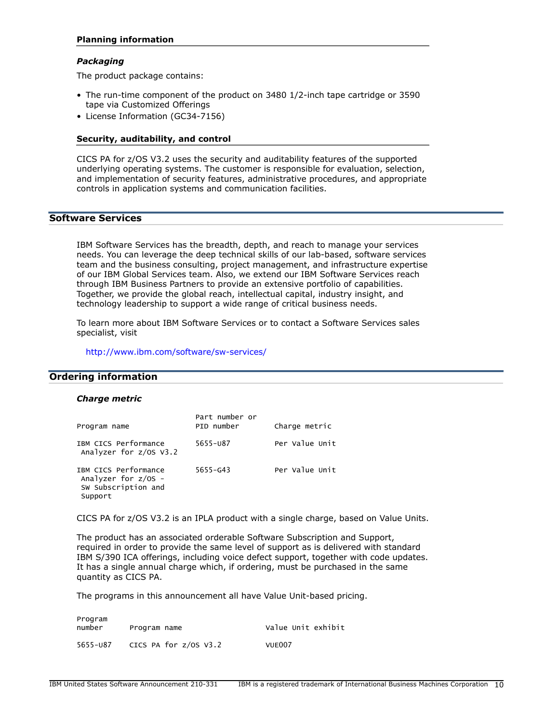## Planning information

#### *Packaging*

The product package contains:

- The run-time component of the product on 3480 1/2-inch tape cartridge or 3590 tape via Customized Offerings
- License Information (GC34-7156)

#### Security, auditability, and control

CICS PA for z/OS V3.2 uses the security and auditability features of the supported underlying operating systems. The customer is responsible for evaluation, selection, and implementation of security features, administrative procedures, and appropriate controls in application systems and communication facilities.

# Software Services

IBM Software Services has the breadth, depth, and reach to manage your services needs. You can leverage the deep technical skills of our lab-based, software services team and the business consulting, project management, and infrastructure expertise of our IBM Global Services team. Also, we extend our IBM Software Services reach through IBM Business Partners to provide an extensive portfolio of capabilities. Together, we provide the global reach, intellectual capital, industry insight, and technology leadership to support a wide range of critical business needs.

To learn more about IBM Software Services or to contact a Software Services sales specialist, visit

<http://www.ibm.com/software/sw-services/>

# <span id="page-9-0"></span>Ordering information

#### *Charge metric*

| Program name                                                                    | Part number or<br>PID number | Charge metric  |
|---------------------------------------------------------------------------------|------------------------------|----------------|
| IBM CICS Performance<br>Analyzer for $z/0s$ V3.2                                | 5655-087                     | Per Value Unit |
| IBM CICS Performance<br>Analyzer for $z/OS -$<br>SW Subscription and<br>Support | 5655-643                     | Per Value Unit |

CICS PA for z/OS V3.2 is an IPLA product with a single charge, based on Value Units.

The product has an associated orderable Software Subscription and Support, required in order to provide the same level of support as is delivered with standard IBM S/390 ICA offerings, including voice defect support, together with code updates. It has a single annual charge which, if ordering, must be purchased in the same quantity as CICS PA.

The programs in this announcement all have Value Unit-based pricing.

| Program<br>number | Program name            | Value Unit exhibit |
|-------------------|-------------------------|--------------------|
| 5655-087          | CICS PA for $z/0s$ V3.2 | VUE007             |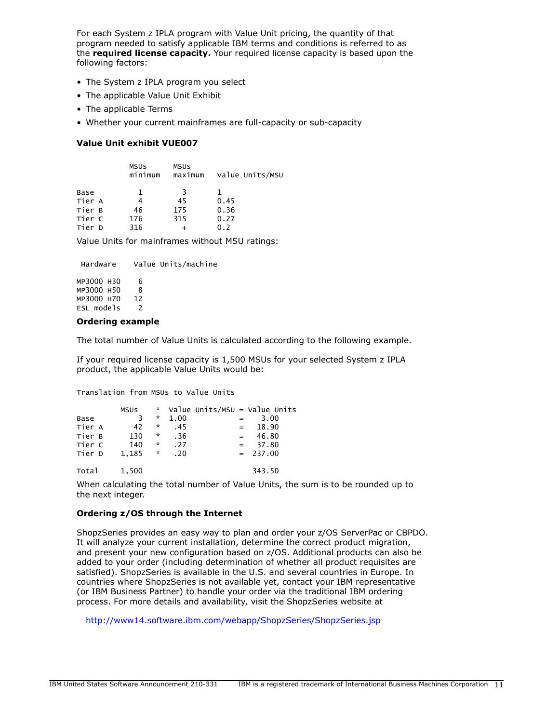For each System z IPLA program with Value Unit pricing, the quantity of that program needed to satisfy applicable IBM terms and conditions is referred to as the **required license capacity.** Your required license capacity is based upon the following factors:

- The System z IPLA program you select
- The applicable Value Unit Exhibit
- The applicable Terms
- Whether your current mainframes are full-capacity or sub-capacity

## Value Unit exhibit VUE007

|        | MSUS<br>minimum | MSUS<br>maximum | Value Units/MSU |
|--------|-----------------|-----------------|-----------------|
| Base   | 1               | R               |                 |
| Tier A | 4               | 45              | 0.45            |
| Tier B | 46              | 175             | 0.36            |
| Tier C | 176             | 315             | 0.27            |
| Tier D | 316             |                 | 0.2             |
|        |                 |                 |                 |

Value Units for mainframes without MSU ratings:

 Hardware Value Units/machine MP3000 H30 6<br>MP3000 H50 8 MP3000 H50 8 MP3000 H70 12 ESL models 2

## Ordering example

The total number of Value Units is calculated according to the following example.

If your required license capacity is 1,500 MSUs for your selected System z IPLA product, the applicable Value Units would be:

Translation from MSUs to Value Units

|        | <b>MSUS</b> | $\mathbf{x}$       |      |         | Value Units/MSU = Value Units |
|--------|-------------|--------------------|------|---------|-------------------------------|
| Base   | 3           | *                  | 1.00 | $=$     | 3.00                          |
| Tier A | 42          | ☆                  | .45  | $=$ $-$ | 18.90                         |
| Tier B | 130         | ☆                  | .36  | $=$     | 46.80                         |
| Tier C | 140         | $\boldsymbol{\pi}$ | .27  | $=$     | 37.80                         |
| Tier D | 1.185       | $\mathcal{H}$      | .20  |         | $= 237.00$                    |
| Total  | 1,500       |                    |      |         | 343.50                        |

When calculating the total number of Value Units, the sum is to be rounded up to the next integer.

#### Ordering z/OS through the Internet

ShopzSeries provides an easy way to plan and order your z/OS ServerPac or CBPDO. It will analyze your current installation, determine the correct product migration, and present your new configuration based on z/OS. Additional products can also be added to your order (including determination of whether all product requisites are satisfied). ShopzSeries is available in the U.S. and several countries in Europe. In countries where ShopzSeries is not available yet, contact your IBM representative (or IBM Business Partner) to handle your order via the traditional IBM ordering process. For more details and availability, visit the ShopzSeries website at

<http://www14.software.ibm.com/webapp/ShopzSeries/ShopzSeries.jsp>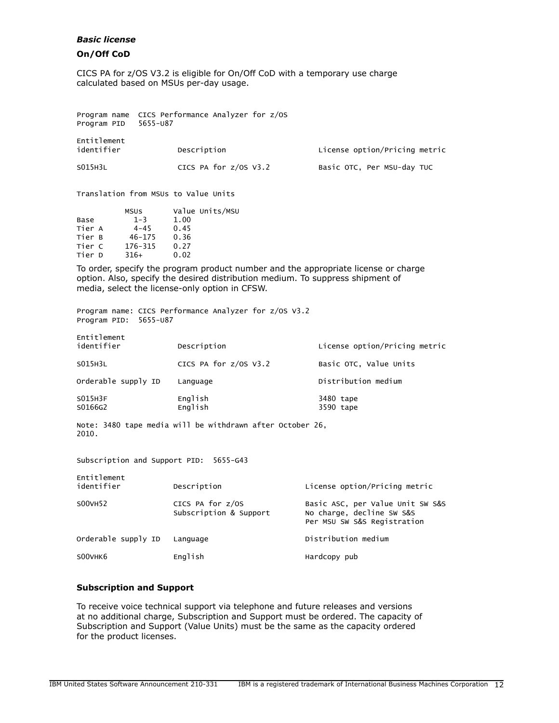## *Basic license*

# On/Off CoD

CICS PA for z/OS V3.2 is eligible for On/Off CoD with a temporary use charge calculated based on MSUs per-day usage.

Program name CICS Performance Analyzer for z/OS Program PID 5655-U87

| Entitlement<br>identifier<br>Description |                         | License option/Pricing metric |  |  |
|------------------------------------------|-------------------------|-------------------------------|--|--|
| S015H3L                                  | CICS PA for $z/0s$ V3.2 | Basic OTC, Per MSU-day TUC    |  |  |

Translation from MSUs to Value Units

|        | <b>MSUS</b> | Value Units/MSU |  |
|--------|-------------|-----------------|--|
| Base   | $1 - 3$     | 1.00            |  |
| Tier A | $4 - 45$    | 0.45            |  |
| Tier B | $46 - 175$  | 0.36            |  |
| Tier C | 176-315     | 0.27            |  |
| Tier D | $316+$      | 0.02            |  |
|        |             |                 |  |

To order, specify the program product number and the appropriate license or charge option. Also, specify the desired distribution medium. To suppress shipment of media, select the license-only option in CFSW.

Program name: CICS Performance Analyzer for z/OS V3.2 Program PID: 5655-U87

| Entitlement<br>identifier | Description           | License option/Pricing metric |
|---------------------------|-----------------------|-------------------------------|
| S015H3L                   | CICS PA for z/0S V3.2 | Basic OTC, Value Units        |
| Orderable supply ID       | Language              | Distribution medium           |
| S015H3F<br>S0166G2        | English<br>English    | 3480 tape<br>3590 tape        |

Note: 3480 tape media will be withdrawn after October 26, 2010.

Subscription and Support PID: 5655-G43

| Entitlement<br>identifier | Description                                | License option/Pricing metric                                                                |
|---------------------------|--------------------------------------------|----------------------------------------------------------------------------------------------|
| S00VH52                   | CICS PA for z/OS<br>Subscription & Support | Basic ASC, per Value Unit SW S&S<br>No charge, decline SW S&S<br>Per MSU SW S&S Registration |
| Orderable supply ID       | Language                                   | Distribution medium                                                                          |
| S00VHK6                   | English                                    | Hardcopy pub                                                                                 |

## Subscription and Support

To receive voice technical support via telephone and future releases and versions at no additional charge, Subscription and Support must be ordered. The capacity of Subscription and Support (Value Units) must be the same as the capacity ordered for the product licenses.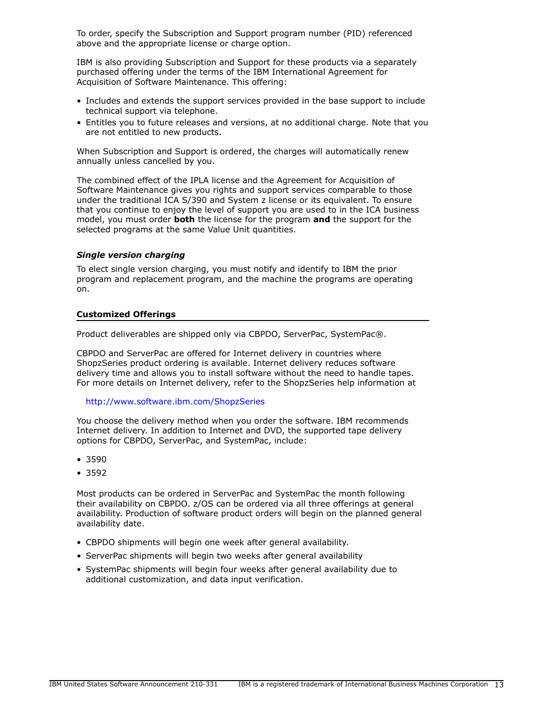To order, specify the Subscription and Support program number (PID) referenced above and the appropriate license or charge option.

IBM is also providing Subscription and Support for these products via a separately purchased offering under the terms of the IBM International Agreement for Acquisition of Software Maintenance. This offering:

- Includes and extends the support services provided in the base support to include technical support via telephone.
- Entitles you to future releases and versions, at no additional charge. Note that you are not entitled to new products.

When Subscription and Support is ordered, the charges will automatically renew annually unless cancelled by you.

The combined effect of the IPLA license and the Agreement for Acquisition of Software Maintenance gives you rights and support services comparable to those under the traditional ICA S/390 and System z license or its equivalent. To ensure that you continue to enjoy the level of support you are used to in the ICA business model, you must order **both** the license for the program **and** the support for the selected programs at the same Value Unit quantities.

## *Single version charging*

To elect single version charging, you must notify and identify to IBM the prior program and replacement program, and the machine the programs are operating on.

#### Customized Offerings

Product deliverables are shipped only via CBPDO, ServerPac, SystemPac®.

CBPDO and ServerPac are offered for Internet delivery in countries where ShopzSeries product ordering is available. Internet delivery reduces software delivery time and allows you to install software without the need to handle tapes. For more details on Internet delivery, refer to the ShopzSeries help information at

#### <http://www.software.ibm.com/ShopzSeries>

You choose the delivery method when you order the software. IBM recommends Internet delivery. In addition to Internet and DVD, the supported tape delivery options for CBPDO, ServerPac, and SystemPac, include:

- 3590
- 3592

Most products can be ordered in ServerPac and SystemPac the month following their availability on CBPDO. z/OS can be ordered via all three offerings at general availability. Production of software product orders will begin on the planned general availability date.

- CBPDO shipments will begin one week after general availability.
- ServerPac shipments will begin two weeks after general availability
- SystemPac shipments will begin four weeks after general availability due to additional customization, and data input verification.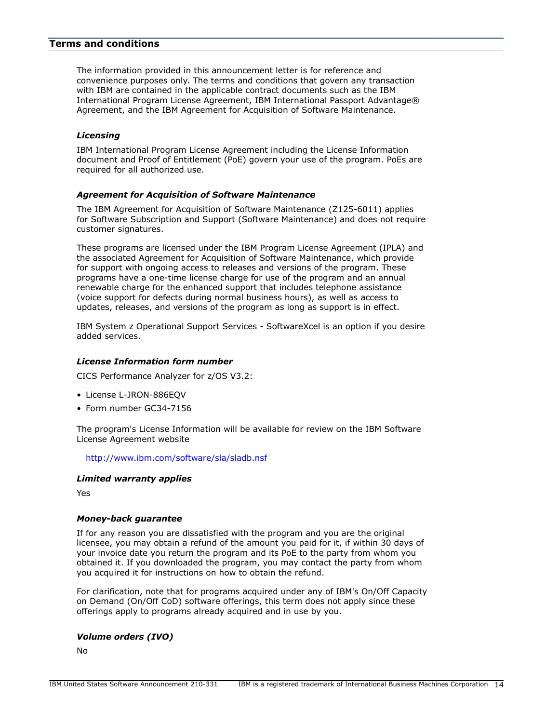# <span id="page-13-0"></span>Terms and conditions

The information provided in this announcement letter is for reference and convenience purposes only. The terms and conditions that govern any transaction with IBM are contained in the applicable contract documents such as the IBM International Program License Agreement, IBM International Passport Advantage® Agreement, and the IBM Agreement for Acquisition of Software Maintenance.

## *Licensing*

IBM International Program License Agreement including the License Information document and Proof of Entitlement (PoE) govern your use of the program. PoEs are required for all authorized use.

## *Agreement for Acquisition of Software Maintenance*

The IBM Agreement for Acquisition of Software Maintenance (Z125-6011) applies for Software Subscription and Support (Software Maintenance) and does not require customer signatures.

These programs are licensed under the IBM Program License Agreement (IPLA) and the associated Agreement for Acquisition of Software Maintenance, which provide for support with ongoing access to releases and versions of the program. These programs have a one-time license charge for use of the program and an annual renewable charge for the enhanced support that includes telephone assistance (voice support for defects during normal business hours), as well as access to updates, releases, and versions of the program as long as support is in effect.

IBM System z Operational Support Services - SoftwareXcel is an option if you desire added services.

## *License Information form number*

CICS Performance Analyzer for z/OS V3.2:

- License L-JRON-886EQV
- Form number GC34-7156

The program's License Information will be available for review on the IBM Software License Agreement website

<http://www.ibm.com/software/sla/sladb.nsf>

# *Limited warranty applies*

Yes

#### *Money-back guarantee*

If for any reason you are dissatisfied with the program and you are the original licensee, you may obtain a refund of the amount you paid for it, if within 30 days of your invoice date you return the program and its PoE to the party from whom you obtained it. If you downloaded the program, you may contact the party from whom you acquired it for instructions on how to obtain the refund.

For clarification, note that for programs acquired under any of IBM's On/Off Capacity on Demand (On/Off CoD) software offerings, this term does not apply since these offerings apply to programs already acquired and in use by you.

## *Volume orders (IVO)*

No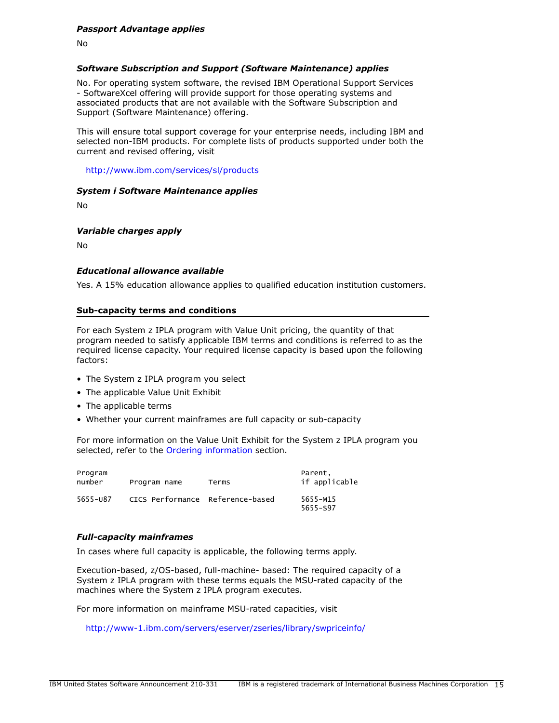## *Passport Advantage applies*

No

## *Software Subscription and Support (Software Maintenance) applies*

No. For operating system software, the revised IBM Operational Support Services - SoftwareXcel offering will provide support for those operating systems and associated products that are not available with the Software Subscription and Support (Software Maintenance) offering.

This will ensure total support coverage for your enterprise needs, including IBM and selected non-IBM products. For complete lists of products supported under both the current and revised offering, visit

<http://www.ibm.com/services/sl/products>

#### *System i Software Maintenance applies*

No

#### *Variable charges apply*

No

#### *Educational allowance available*

Yes. A 15% education allowance applies to qualified education institution customers.

#### Sub-capacity terms and conditions

For each System z IPLA program with Value Unit pricing, the quantity of that program needed to satisfy applicable IBM terms and conditions is referred to as the required license capacity. Your required license capacity is based upon the following factors:

- The System z IPLA program you select
- The applicable Value Unit Exhibit
- The applicable terms
- Whether your current mainframes are full capacity or sub-capacity

For more information on the Value Unit Exhibit for the System z IPLA program you selected, refer to the [Ordering information](#page-9-0) section.

| Program<br>number | Program name                     | Terms | Parent,<br>if applicable |
|-------------------|----------------------------------|-------|--------------------------|
| 5655-087          | CICS Performance Reference-based |       | 5655-M15<br>5655-S97     |

#### *Full-capacity mainframes*

In cases where full capacity is applicable, the following terms apply.

Execution-based, z/OS-based, full-machine- based: The required capacity of a System z IPLA program with these terms equals the MSU-rated capacity of the machines where the System z IPLA program executes.

For more information on mainframe MSU-rated capacities, visit

<http://www-1.ibm.com/servers/eserver/zseries/library/swpriceinfo/>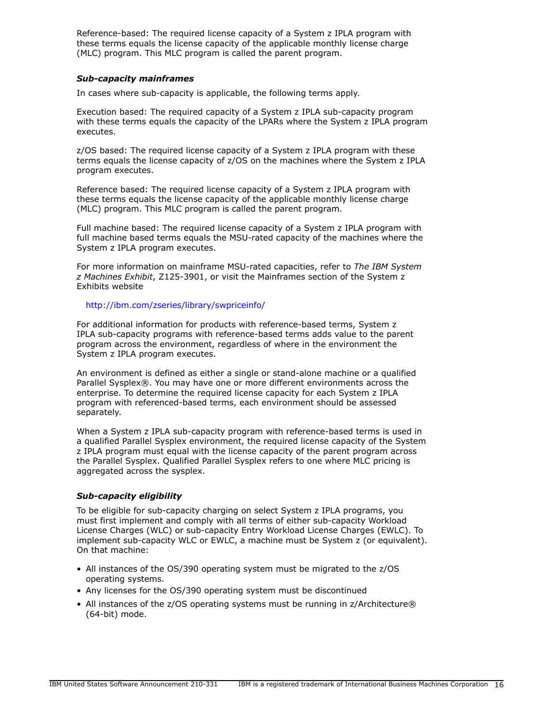Reference-based: The required license capacity of a System z IPLA program with these terms equals the license capacity of the applicable monthly license charge (MLC) program. This MLC program is called the parent program.

## *Sub-capacity mainframes*

In cases where sub-capacity is applicable, the following terms apply.

Execution based: The required capacity of a System z IPLA sub-capacity program with these terms equals the capacity of the LPARs where the System z IPLA program executes.

z/OS based: The required license capacity of a System z IPLA program with these terms equals the license capacity of z/OS on the machines where the System z IPLA program executes.

Reference based: The required license capacity of a System z IPLA program with these terms equals the license capacity of the applicable monthly license charge (MLC) program. This MLC program is called the parent program.

Full machine based: The required license capacity of a System z IPLA program with full machine based terms equals the MSU-rated capacity of the machines where the System z IPLA program executes.

For more information on mainframe MSU-rated capacities, refer to *The IBM System z Machines Exhibit*, Z125-3901, or visit the Mainframes section of the System z Exhibits website

## <http://ibm.com/zseries/library/swpriceinfo/>

For additional information for products with reference-based terms, System z IPLA sub-capacity programs with reference-based terms adds value to the parent program across the environment, regardless of where in the environment the System z IPLA program executes.

An environment is defined as either a single or stand-alone machine or a qualified Parallel Sysplex®. You may have one or more different environments across the enterprise. To determine the required license capacity for each System z IPLA program with referenced-based terms, each environment should be assessed separately.

When a System z IPLA sub-capacity program with reference-based terms is used in a qualified Parallel Sysplex environment, the required license capacity of the System z IPLA program must equal with the license capacity of the parent program across the Parallel Sysplex. Qualified Parallel Sysplex refers to one where MLC pricing is aggregated across the sysplex.

# *Sub-capacity eligibility*

To be eligible for sub-capacity charging on select System z IPLA programs, you must first implement and comply with all terms of either sub-capacity Workload License Charges (WLC) or sub-capacity Entry Workload License Charges (EWLC). To implement sub-capacity WLC or EWLC, a machine must be System z (or equivalent). On that machine:

- All instances of the OS/390 operating system must be migrated to the z/OS operating systems.
- Any licenses for the OS/390 operating system must be discontinued
- All instances of the z/OS operating systems must be running in z/Architecture® (64-bit) mode.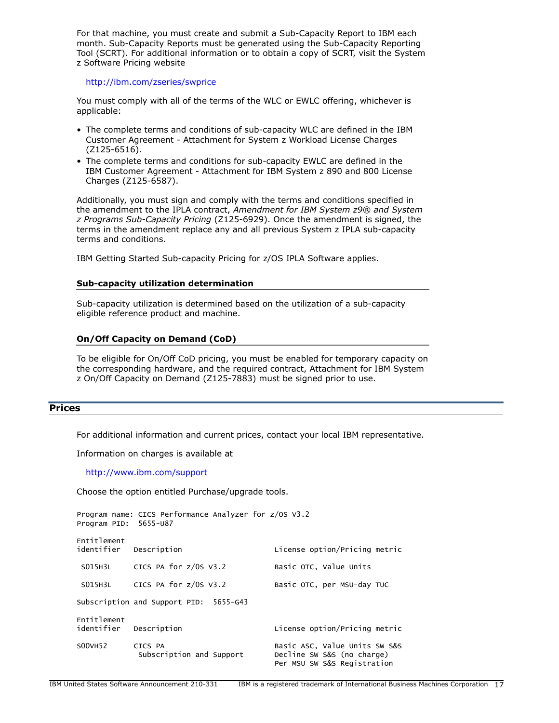For that machine, you must create and submit a Sub-Capacity Report to IBM each month. Sub-Capacity Reports must be generated using the Sub-Capacity Reporting Tool (SCRT). For additional information or to obtain a copy of SCRT, visit the System z Software Pricing website

#### <http://ibm.com/zseries/swprice>

You must comply with all of the terms of the WLC or EWLC offering, whichever is applicable:

- The complete terms and conditions of sub-capacity WLC are defined in the IBM Customer Agreement - Attachment for System z Workload License Charges (Z125-6516).
- The complete terms and conditions for sub-capacity EWLC are defined in the IBM Customer Agreement - Attachment for IBM System z 890 and 800 License Charges (Z125-6587).

Additionally, you must sign and comply with the terms and conditions specified in the amendment to the IPLA contract, *Amendment for IBM System z9® and System z Programs Sub-Capacity Pricing* (Z125-6929). Once the amendment is signed, the terms in the amendment replace any and all previous System z IPLA sub-capacity terms and conditions.

IBM Getting Started Sub-capacity Pricing for z/OS IPLA Software applies.

#### Sub-capacity utilization determination

Sub-capacity utilization is determined based on the utilization of a sub-capacity eligible reference product and machine.

## On/Off Capacity on Demand (CoD)

To be eligible for On/Off CoD pricing, you must be enabled for temporary capacity on the corresponding hardware, and the required contract, Attachment for IBM System z On/Off Capacity on Demand (Z125-7883) must be signed prior to use.

## <span id="page-16-0"></span>**Prices**

For additional information and current prices, contact your local IBM representative.

Information on charges is available at

<http://www.ibm.com/support>

Choose the option entitled Purchase/upgrade tools.

```
Program name: CICS Performance Analyzer for z/OS V3.2
Program PID: 5655-U87
Entitlement 
identifier Description License option/Pricing metric
SO15H3L CICS PA for z/0S V3.2 Basic OTC, Value Units
 S015H3L CICS PA for z/0S V3.2 Basic OTC, per MSU-day TUC
Subscription and Support PID: 5655-G43
Entitlement 
identifier Description License option/Pricing metric
SOOVH52 CICS PA Basic ASC, Value Units SW S&S
           Subscription and Support Decline SW S&S (no charge)
                                      Per MSU SW S&S Registration
```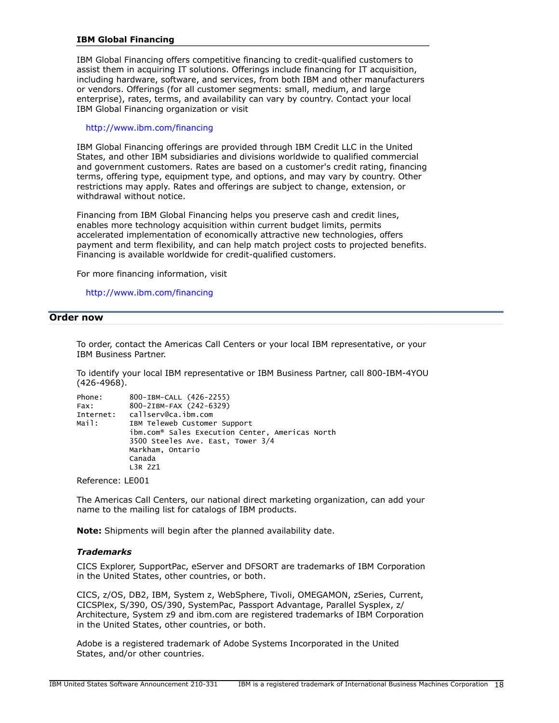## IBM Global Financing

IBM Global Financing offers competitive financing to credit-qualified customers to assist them in acquiring IT solutions. Offerings include financing for IT acquisition, including hardware, software, and services, from both IBM and other manufacturers or vendors. Offerings (for all customer segments: small, medium, and large enterprise), rates, terms, and availability can vary by country. Contact your local IBM Global Financing organization or visit

#### <http://www.ibm.com/financing>

IBM Global Financing offerings are provided through IBM Credit LLC in the United States, and other IBM subsidiaries and divisions worldwide to qualified commercial and government customers. Rates are based on a customer's credit rating, financing terms, offering type, equipment type, and options, and may vary by country. Other restrictions may apply. Rates and offerings are subject to change, extension, or withdrawal without notice.

Financing from IBM Global Financing helps you preserve cash and credit lines, enables more technology acquisition within current budget limits, permits accelerated implementation of economically attractive new technologies, offers payment and term flexibility, and can help match project costs to projected benefits. Financing is available worldwide for credit-qualified customers.

For more financing information, visit

<http://www.ibm.com/financing>

#### <span id="page-17-0"></span>Order now

To order, contact the Americas Call Centers or your local IBM representative, or your IBM Business Partner.

To identify your local IBM representative or IBM Business Partner, call 800-IBM-4YOU (426-4968).

| Phone:    | 800-IBM-CALL (426-2255)                                     |
|-----------|-------------------------------------------------------------|
| Fax:      | 800-2IBM-FAX (242-6329)                                     |
| Internet: | callserv@ca.ibm.com                                         |
| Mail:     | IBM Teleweb Customer Support                                |
|           | ibm.com <sup>®</sup> Sales Execution Center, Americas North |
|           | 3500 Steeles Ave. East, Tower 3/4                           |
|           | Markham, Ontario                                            |
|           | Canada                                                      |
|           | L3R 2Z1                                                     |
|           |                                                             |

Reference: LE001

The Americas Call Centers, our national direct marketing organization, can add your name to the mailing list for catalogs of IBM products.

Note: Shipments will begin after the planned availability date.

#### *Trademarks*

CICS Explorer, SupportPac, eServer and DFSORT are trademarks of IBM Corporation in the United States, other countries, or both.

CICS, z/OS, DB2, IBM, System z, WebSphere, Tivoli, OMEGAMON, zSeries, Current, CICSPlex, S/390, OS/390, SystemPac, Passport Advantage, Parallel Sysplex, z/ Architecture, System z9 and ibm.com are registered trademarks of IBM Corporation in the United States, other countries, or both.

Adobe is a registered trademark of Adobe Systems Incorporated in the United States, and/or other countries.